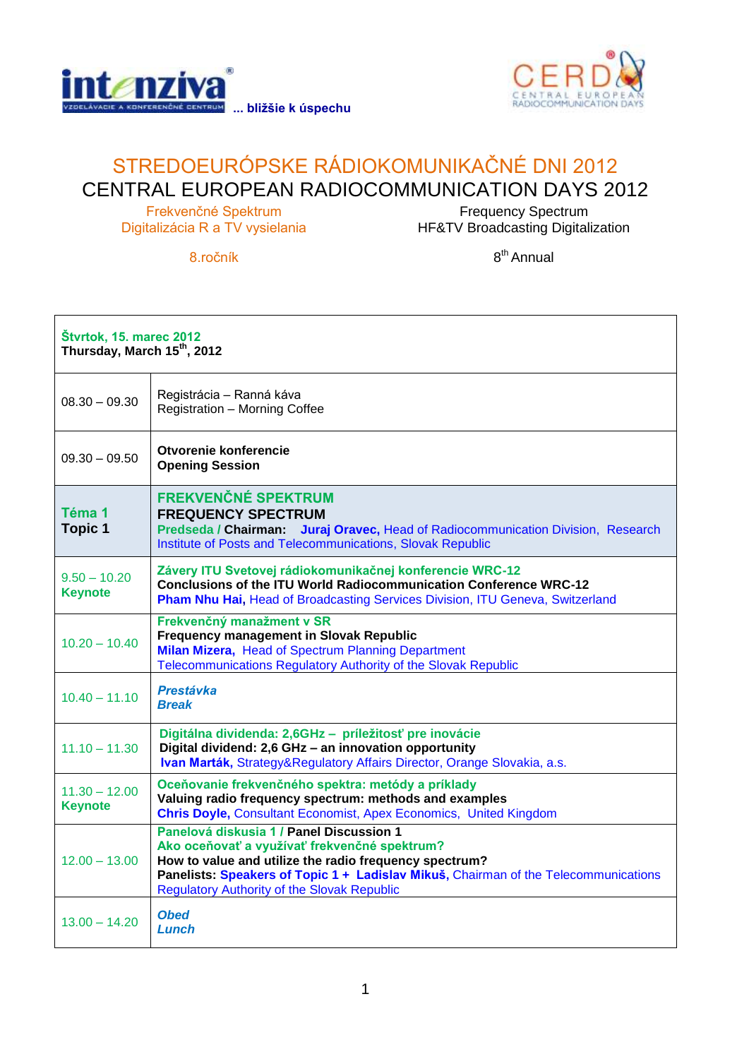



## STREDOEURÓPSKE RÁDIOKOMUNIKAČNÉ DNI 2012 CENTRAL EUROPEAN RADIOCOMMUNICATION DAYS 2012

Frekvenčné Spektrum Digitalizácia R a TV vysielania

Frequency Spectrum HF&TV Broadcasting Digitalization

8.ročník

8<sup>th</sup> Annual

| <b>Štvrtok, 15. marec 2012</b><br>Thursday, March 15th, 2012 |                                                                                                                                                                                                                                                                                                 |  |
|--------------------------------------------------------------|-------------------------------------------------------------------------------------------------------------------------------------------------------------------------------------------------------------------------------------------------------------------------------------------------|--|
| $08.30 - 09.30$                                              | Registrácia - Ranná káva<br>Registration - Morning Coffee                                                                                                                                                                                                                                       |  |
| $09.30 - 09.50$                                              | Otvorenie konferencie<br><b>Opening Session</b>                                                                                                                                                                                                                                                 |  |
| Téma 1<br><b>Topic 1</b>                                     | <b>FREKVENČNÉ SPEKTRUM</b><br><b>FREQUENCY SPECTRUM</b><br>Predseda / Chairman: Juraj Oravec, Head of Radiocommunication Division, Research<br>Institute of Posts and Telecommunications, Slovak Republic                                                                                       |  |
| $9.50 - 10.20$<br><b>Keynote</b>                             | Závery ITU Svetovej rádiokomunikačnej konferencie WRC-12<br><b>Conclusions of the ITU World Radiocommunication Conference WRC-12</b><br>Pham Nhu Hai, Head of Broadcasting Services Division, ITU Geneva, Switzerland                                                                           |  |
| $10.20 - 10.40$                                              | Frekvenčný manažment v SR<br><b>Frequency management in Slovak Republic</b><br>Milan Mizera, Head of Spectrum Planning Department<br>Telecommunications Regulatory Authority of the Slovak Republic                                                                                             |  |
| $10.40 - 11.10$                                              | <b>Prestávka</b><br><b>Break</b>                                                                                                                                                                                                                                                                |  |
| $11.10 - 11.30$                                              | Digitálna dividenda: 2,6GHz - príležitosť pre inovácie<br>Digital dividend: 2,6 GHz - an innovation opportunity<br>Ivan Marták, Strategy&Regulatory Affairs Director, Orange Slovakia, a.s.                                                                                                     |  |
| $11.30 - 12.00$<br><b>Keynote</b>                            | Oceňovanie frekvenčného spektra: metódy a príklady<br>Valuing radio frequency spectrum: methods and examples<br><b>Chris Doyle, Consultant Economist, Apex Economics, United Kingdom</b>                                                                                                        |  |
| $12.00 - 13.00$                                              | Panelová diskusia 1 / Panel Discussion 1<br>Ako oceňovať a využívať frekvenčné spektrum?<br>How to value and utilize the radio frequency spectrum?<br>Panelists: Speakers of Topic 1 + Ladislav Mikuš, Chairman of the Telecommunications<br><b>Regulatory Authority of the Slovak Republic</b> |  |
| $13.00 - 14.20$                                              | <b>Obed</b><br>Lunch                                                                                                                                                                                                                                                                            |  |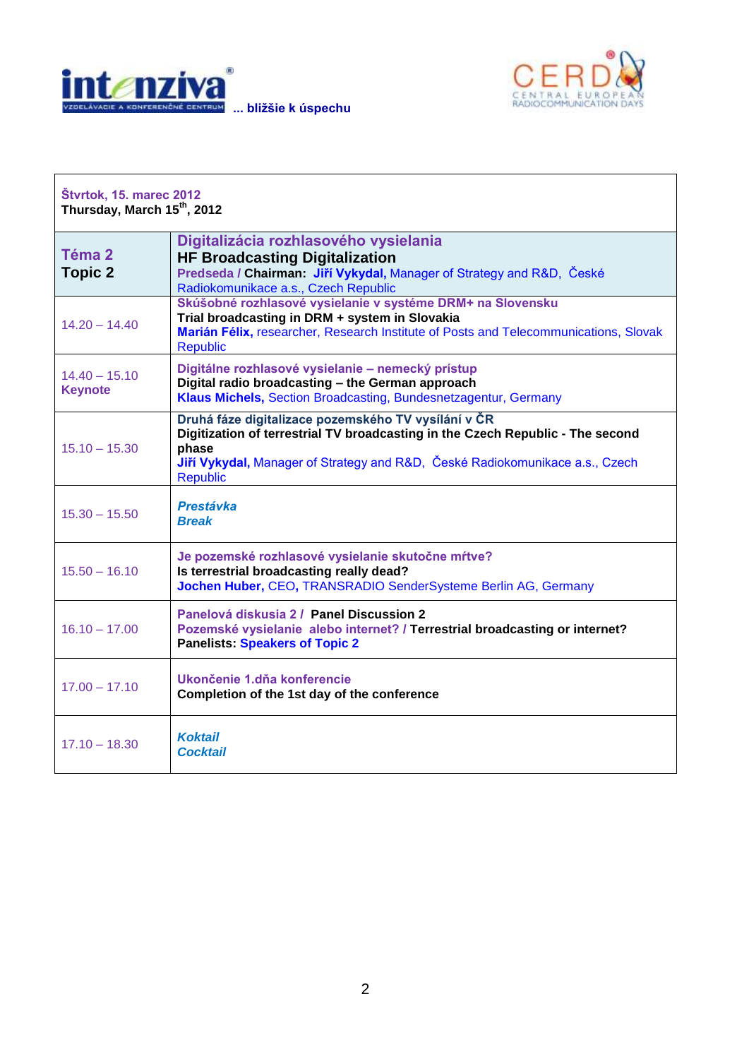

 $\Gamma$ 



| <b>Štvrtok, 15. marec 2012</b><br>Thursday, March 15th, 2012 |                                                                                                                                                                                                                                                   |  |
|--------------------------------------------------------------|---------------------------------------------------------------------------------------------------------------------------------------------------------------------------------------------------------------------------------------------------|--|
| Téma 2<br><b>Topic 2</b>                                     | Digitalizácia rozhlasového vysielania<br><b>HF Broadcasting Digitalization</b><br>Predseda / Chairman: Jiří Vykydal, Manager of Strategy and R&D, České<br>Radiokomunikace a.s., Czech Republic                                                   |  |
| $14.20 - 14.40$                                              | Skúšobné rozhlasové vysielanie v systéme DRM+ na Slovensku<br>Trial broadcasting in DRM + system in Slovakia<br>Marián Félix, researcher, Research Institute of Posts and Telecommunications, Slovak<br><b>Republic</b>                           |  |
| $14.40 - 15.10$<br><b>Keynote</b>                            | Digitálne rozhlasové vysielanie - nemecký prístup<br>Digital radio broadcasting - the German approach<br>Klaus Michels, Section Broadcasting, Bundesnetzagentur, Germany                                                                          |  |
| $15.10 - 15.30$                                              | Druhá fáze digitalizace pozemského TV vysílání v ČR<br>Digitization of terrestrial TV broadcasting in the Czech Republic - The second<br>phase<br>Jiří Vykydal, Manager of Strategy and R&D, České Radiokomunikace a.s., Czech<br><b>Republic</b> |  |
| $15.30 - 15.50$                                              | Prestávka<br><b>Break</b>                                                                                                                                                                                                                         |  |
| $15.50 - 16.10$                                              | Je pozemské rozhlasové vysielanie skutočne mŕtve?<br>Is terrestrial broadcasting really dead?<br>Jochen Huber, CEO, TRANSRADIO SenderSysteme Berlin AG, Germany                                                                                   |  |
| $16.10 - 17.00$                                              | Panelová diskusia 2 / Panel Discussion 2<br>Pozemské vysielanie alebo internet? / Terrestrial broadcasting or internet?<br><b>Panelists: Speakers of Topic 2</b>                                                                                  |  |
| $17.00 - 17.10$                                              | Ukončenie 1.dňa konferencie<br>Completion of the 1st day of the conference                                                                                                                                                                        |  |
| $17.10 - 18.30$                                              | <b>Koktail</b><br><b>Cocktail</b>                                                                                                                                                                                                                 |  |